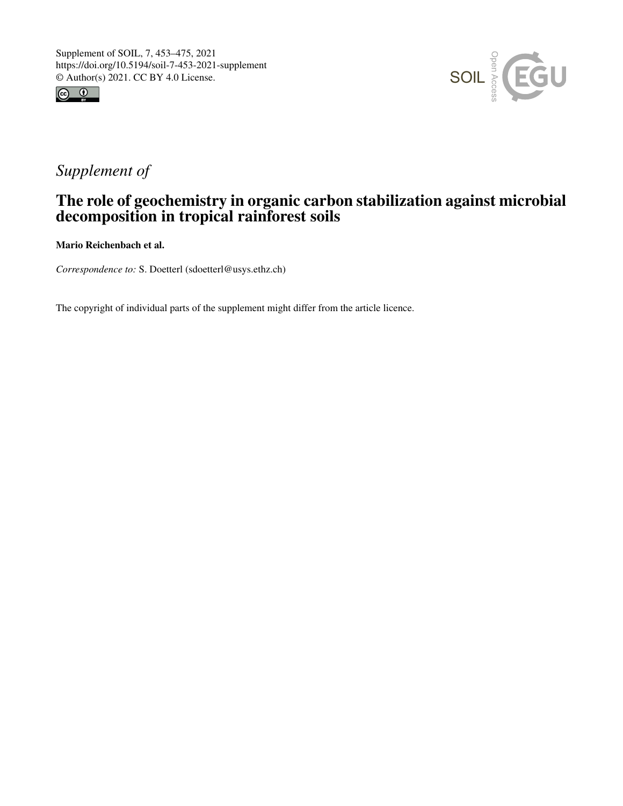



# *Supplement of*

## The role of geochemistry in organic carbon stabilization against microbial decomposition in tropical rainforest soils

Mario Reichenbach et al.

*Correspondence to:* S. Doetterl (sdoetterl@usys.ethz.ch)

The copyright of individual parts of the supplement might differ from the article licence.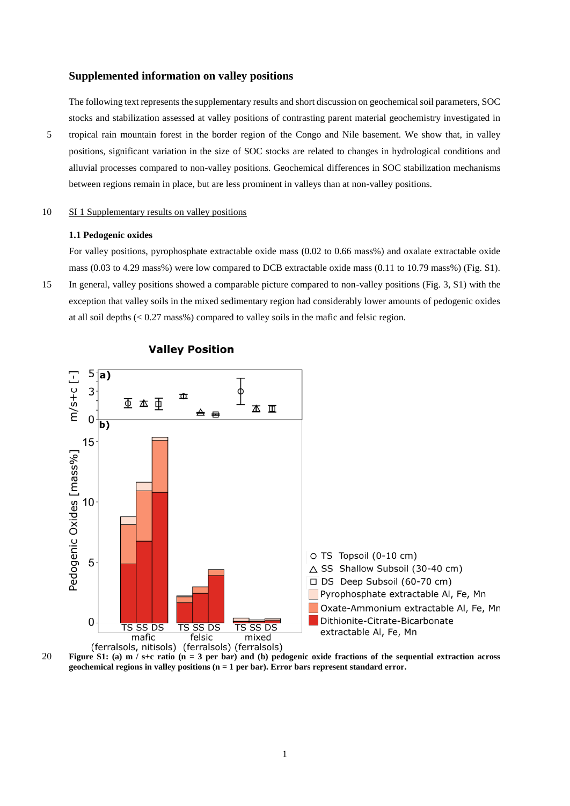## **Supplemented information on valley positions**

The following text represents the supplementary results and short discussion on geochemical soil parameters, SOC stocks and stabilization assessed at valley positions of contrasting parent material geochemistry investigated in 5 tropical rain mountain forest in the border region of the Congo and Nile basement. We show that, in valley positions, significant variation in the size of SOC stocks are related to changes in hydrological conditions and alluvial processes compared to non-valley positions. Geochemical differences in SOC stabilization mechanisms between regions remain in place, but are less prominent in valleys than at non-valley positions.

### 10 SI 1 Supplementary results on valley positions

## **1.1 Pedogenic oxides**

For valley positions, pyrophosphate extractable oxide mass (0.02 to 0.66 mass%) and oxalate extractable oxide mass (0.03 to 4.29 mass%) were low compared to DCB extractable oxide mass (0.11 to 10.79 mass%) (Fig. S1).

15 In general, valley positions showed a comparable picture compared to non-valley positions (Fig. 3, S1) with the exception that valley soils in the mixed sedimentary region had considerably lower amounts of pedogenic oxides at all soil depths  $\left($  < 0.27 mass%) compared to valley soils in the mafic and felsic region.



## **Valley Position**

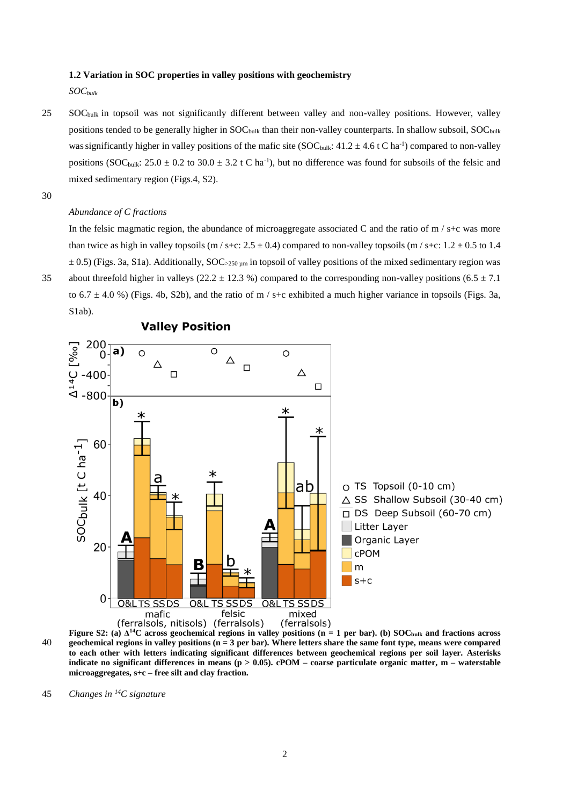#### **1.2 Variation in SOC properties in valley positions with geochemistry**

*SOCbulk*

- 25 SOC<sub>bulk</sub> in topsoil was not significantly different between valley and non-valley positions. However, valley positions tended to be generally higher in SOC<sub>bulk</sub> than their non-valley counterparts. In shallow subsoil, SOC<sub>bulk</sub> was significantly higher in valley positions of the mafic site (SOC<sub>bulk</sub>:  $41.2 \pm 4.6$  t C ha<sup>-1</sup>) compared to non-valley positions (SOC<sub>bulk</sub>:  $25.0 \pm 0.2$  to  $30.0 \pm 3.2$  t C ha<sup>-1</sup>), but no difference was found for subsoils of the felsic and mixed sedimentary region (Figs.4, S2).
- 30

#### *Abundance of C fractions*

In the felsic magmatic region, the abundance of microaggregate associated C and the ratio of  $m / s+c$  was more than twice as high in valley topsoils (m/s+c:  $2.5 \pm 0.4$ ) compared to non-valley topsoils (m/s+c:  $1.2 \pm 0.5$  to  $1.4$  $\pm$  0.5) (Figs. 3a, S1a). Additionally, SOC>250 <sub>um</sub> in topsoil of valley positions of the mixed sedimentary region was 35 about threefold higher in valleys (22.2  $\pm$  12.3 %) compared to the corresponding non-valley positions (6.5  $\pm$  7.1 to 6.7  $\pm$  4.0 %) (Figs. 4b, S2b), and the ratio of m / s+c exhibited a much higher variance in topsoils (Figs. 3a, S1ab).



**Valley Position** 



**Figure S2:** (a)  $\Delta^{14}$ C across geochemical regions in valley positions (n = 1 per bar). (b) SOC<sub>bulk</sub> and fractions across 40 **geochemical regions in valley positions (n = 3 per bar). Where letters share the same font type, means were compared to each other with letters indicating significant differences between geochemical regions per soil layer. Asterisks indicate no significant differences in means (p > 0.05). cPOM – coarse particulate organic matter, m – waterstable microaggregates, s+c – free silt and clay fraction.**

*Changes in <sup>14</sup>* 45 *C signature*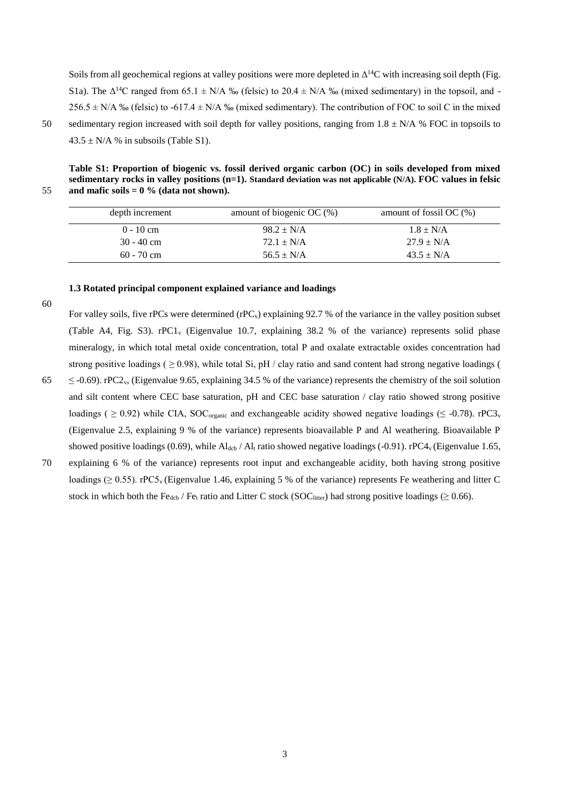Soils from all geochemical regions at valley positions were more depleted in  $\Delta^{14}C$  with increasing soil depth (Fig. S1a). The  $\Delta^{14}$ C ranged from 65.1  $\pm$  N/A ‰ (felsic) to 20.4  $\pm$  N/A ‰ (mixed sedimentary) in the topsoil, and -256.5  $\pm$  N/A % (felsic) to -617.4  $\pm$  N/A % (mixed sedimentary). The contribution of FOC to soil C in the mixed 50 sedimentary region increased with soil depth for valley positions, ranging from  $1.8 \pm N/A$  % FOC in topsoils to  $43.5 \pm N/A$  % in subsoils (Table S1).

**Table S1: Proportion of biogenic vs. fossil derived organic carbon (OC) in soils developed from mixed sedimentary rocks in valley positions (n=1). Standard deviation was not applicable (N/A). FOC values in felsic**  55 **and mafic soils = 0 % (data not shown).**

| depth increment | amount of biogenic OC $(\%)$ | amount of fossil OC $(\%)$ |
|-----------------|------------------------------|----------------------------|
| $0 - 10$ cm     | $98.2 \pm N/A$               | $1.8 \pm N/A$              |
| $30 - 40$ cm    | $72.1 \pm N/A$               | $27.9 \pm N/A$             |
| $60 - 70$ cm    | $56.5 \pm N/A$               | $43.5 \pm N/A$             |

## **1.3 Rotated principal component explained variance and loadings**

60

For valley soils, five rPCs were determined (rPC<sub>v</sub>) explaining 92.7 % of the variance in the valley position subset (Table A4, Fig. S3). rPC1<sup>v</sup> (Eigenvalue 10.7, explaining 38.2 % of the variance) represents solid phase mineralogy, in which total metal oxide concentration, total P and oxalate extractable oxides concentration had strong positive loadings ( $\geq$  0.98), while total Si, pH / clay ratio and sand content had strong negative loadings (  $65 \leq -0.69$ ). rPC2<sub>v</sub>, (Eigenvalue 9.65, explaining 34.5 % of the variance) represents the chemistry of the soil solution and silt content where CEC base saturation, pH and CEC base saturation / clay ratio showed strong positive

loadings (  $\geq$  0.92) while CIA, SOC<sub>organic</sub> and exchangeable acidity showed negative loadings (  $\leq$  -0.78). rPC3<sub>v</sub>

(Eigenvalue 2.5, explaining 9 % of the variance) represents bioavailable P and Al weathering. Bioavailable P

showed positive loadings (0.69), while  $Al_{dcb}$  /  $Al_t$  ratio showed negative loadings (-0.91). rPC4<sub>v</sub> (Eigenvalue 1.65, 70 explaining 6 % of the variance) represents root input and exchangeable acidity, both having strong positive loadings ( $\geq 0.55$ ). rPC5<sub>v</sub> (Eigenvalue 1.46, explaining 5 % of the variance) represents Fe weathering and litter C stock in which both the Fe<sub>dcb</sub> / Fe<sub>t</sub> ratio and Litter C stock (SOC<sub>litter</sub>) had strong positive loadings ( $\geq 0.66$ ).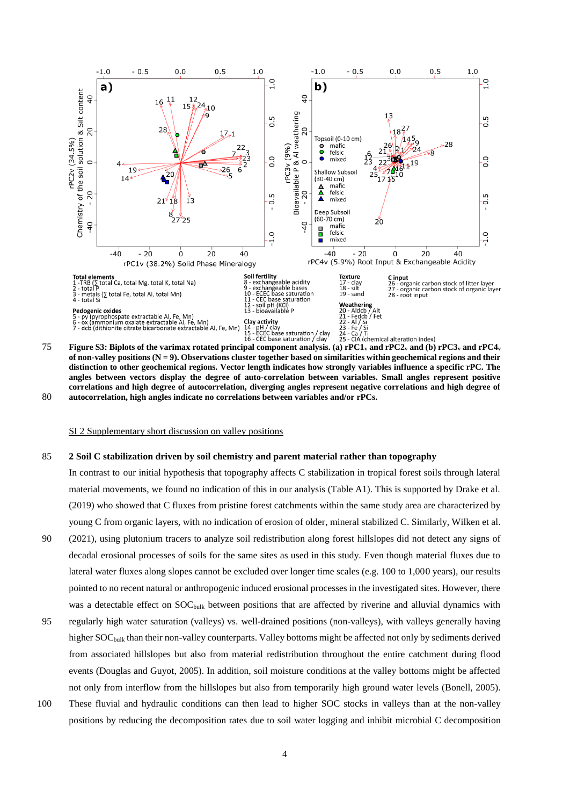

**of non-valley positions (N = 9). Observations cluster together based on similarities within geochemical regions and their distinction to other geochemical regions. Vector length indicates how strongly variables influence a specific rPC. The angles between vectors display the degree of auto-correlation between variables. Small angles represent positive correlations and high degree of autocorrelation, diverging angles represent negative correlations and high degree of**  80 **autocorrelation, high angles indicate no correlations between variables and/or rPCs.**

SI 2 Supplementary short discussion on valley positions

## 85 **2 Soil C stabilization driven by soil chemistry and parent material rather than topography**

In contrast to our initial hypothesis that topography affects C stabilization in tropical forest soils through lateral material movements, we found no indication of this in our analysis (Table A1). This is supported by Drake et al. (2019) who showed that C fluxes from pristine forest catchments within the same study area are characterized by young C from organic layers, with no indication of erosion of older, mineral stabilized C. Similarly, Wilken et al.

- 90 (2021), using plutonium tracers to analyze soil redistribution along forest hillslopes did not detect any signs of decadal erosional processes of soils for the same sites as used in this study. Even though material fluxes due to lateral water fluxes along slopes cannot be excluded over longer time scales (e.g. 100 to 1,000 years), our results pointed to no recent natural or anthropogenic induced erosional processes in the investigated sites. However, there was a detectable effect on SOC<sub>bulk</sub> between positions that are affected by riverine and alluvial dynamics with
- 95 regularly high water saturation (valleys) vs. well-drained positions (non-valleys), with valleys generally having higher SOC<sub>bulk</sub> than their non-valley counterparts. Valley bottoms might be affected not only by sediments derived from associated hillslopes but also from material redistribution throughout the entire catchment during flood events (Douglas and Guyot, 2005). In addition, soil moisture conditions at the valley bottoms might be affected not only from interflow from the hillslopes but also from temporarily high ground water levels (Bonell, 2005).
- 100 These fluvial and hydraulic conditions can then lead to higher SOC stocks in valleys than at the non-valley positions by reducing the decomposition rates due to soil water logging and inhibit microbial C decomposition